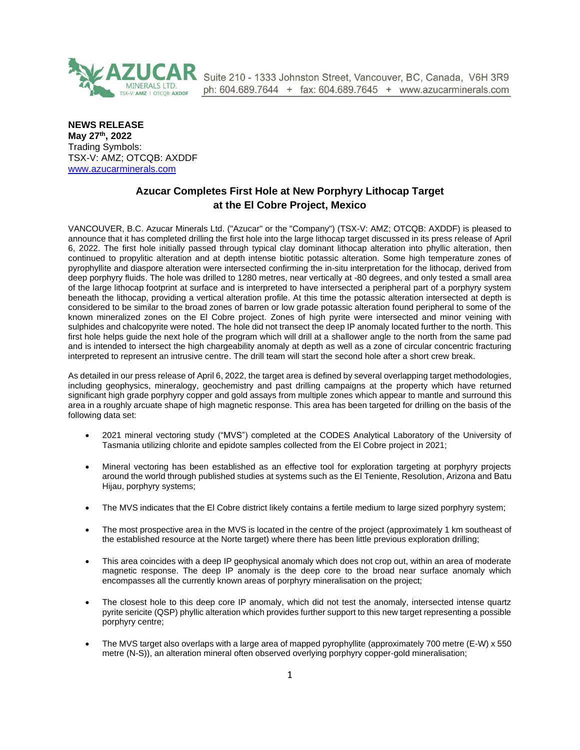

Suite 210 - 1333 Johnston Street, Vancouver, BC, Canada, V6H 3R9 ph: 604.689.7644 + fax: 604.689.7645 + www.azucarminerals.com

## **NEWS RELEASE May 27th , 2022** Trading Symbols: TSX-V: AMZ; OTCQB: AXDDF [www.azucarminerals.com](http://www.azucarminerals.com/)

# **Azucar Completes First Hole at New Porphyry Lithocap Target at the El Cobre Project, Mexico**

VANCOUVER, B.C. Azucar Minerals Ltd. ("Azucar" or the "Company") (TSX-V: AMZ; OTCQB: AXDDF) is pleased to announce that it has completed drilling the first hole into the large lithocap target discussed in its press release of April 6, 2022. The first hole initially passed through typical clay dominant lithocap alteration into phyllic alteration, then continued to propylitic alteration and at depth intense biotitic potassic alteration. Some high temperature zones of pyrophyllite and diaspore alteration were intersected confirming the in-situ interpretation for the lithocap, derived from deep porphyry fluids. The hole was drilled to 1280 metres, near vertically at -80 degrees, and only tested a small area of the large lithocap footprint at surface and is interpreted to have intersected a peripheral part of a porphyry system beneath the lithocap, providing a vertical alteration profile. At this time the potassic alteration intersected at depth is considered to be similar to the broad zones of barren or low grade potassic alteration found peripheral to some of the known mineralized zones on the El Cobre project. Zones of high pyrite were intersected and minor veining with sulphides and chalcopyrite were noted. The hole did not transect the deep IP anomaly located further to the north. This first hole helps guide the next hole of the program which will drill at a shallower angle to the north from the same pad and is intended to intersect the high chargeability anomaly at depth as well as a zone of circular concentric fracturing interpreted to represent an intrusive centre. The drill team will start the second hole after a short crew break.

As detailed in our press release of April 6, 2022, the target area is defined by several overlapping target methodologies, including geophysics, mineralogy, geochemistry and past drilling campaigns at the property which have returned significant high grade porphyry copper and gold assays from multiple zones which appear to mantle and surround this area in a roughly arcuate shape of high magnetic response. This area has been targeted for drilling on the basis of the following data set:

- 2021 mineral vectoring study ("MVS") completed at the CODES Analytical Laboratory of the University of Tasmania utilizing chlorite and epidote samples collected from the El Cobre project in 2021;
- Mineral vectoring has been established as an effective tool for exploration targeting at porphyry projects around the world through published studies at systems such as the El Teniente, Resolution, Arizona and Batu Hijau, porphyry systems;
- The MVS indicates that the El Cobre district likely contains a fertile medium to large sized porphyry system;
- The most prospective area in the MVS is located in the centre of the project (approximately 1 km southeast of the established resource at the Norte target) where there has been little previous exploration drilling;
- This area coincides with a deep IP geophysical anomaly which does not crop out, within an area of moderate magnetic response. The deep IP anomaly is the deep core to the broad near surface anomaly which encompasses all the currently known areas of porphyry mineralisation on the project;
- The closest hole to this deep core IP anomaly, which did not test the anomaly, intersected intense quartz pyrite sericite (QSP) phyllic alteration which provides further support to this new target representing a possible porphyry centre;
- The MVS target also overlaps with a large area of mapped pyrophyllite (approximately 700 metre (E-W) x 550 metre (N-S)), an alteration mineral often observed overlying porphyry copper-gold mineralisation;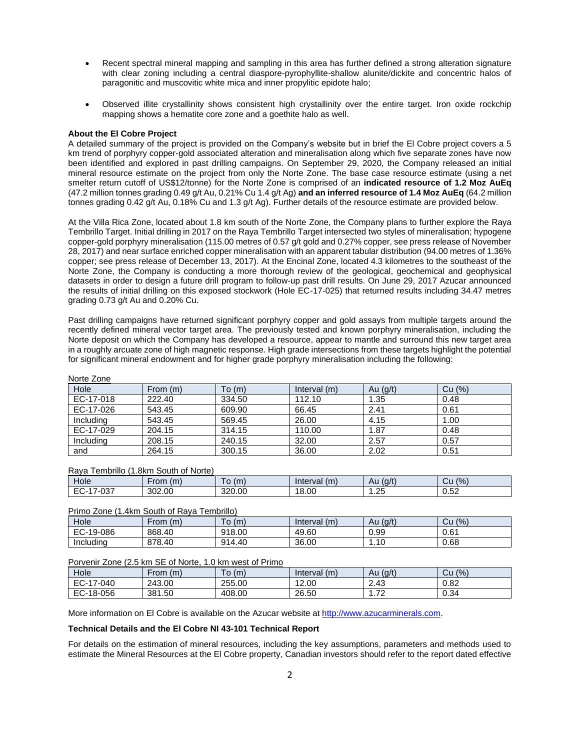- Recent spectral mineral mapping and sampling in this area has further defined a strong alteration signature with clear zoning including a central diaspore-pyrophyllite-shallow alunite/dickite and concentric halos of paragonitic and muscovitic white mica and inner propylitic epidote halo;
- Observed illite crystallinity shows consistent high crystallinity over the entire target. Iron oxide rockchip mapping shows a hematite core zone and a goethite halo as well.

#### **About the El Cobre Project**

A detailed summary of the project is provided on the Company's website but in brief the El Cobre project covers a 5 km trend of porphyry copper-gold associated alteration and mineralisation along which five separate zones have now been identified and explored in past drilling campaigns. On September 29, 2020, the Company released an initial mineral resource estimate on the project from only the Norte Zone. The base case resource estimate (using a net smelter return cutoff of US\$12/tonne) for the Norte Zone is comprised of an **indicated resource of 1.2 Moz AuEq** (47.2 million tonnes grading 0.49 g/t Au, 0.21% Cu 1.4 g/t Ag) **and an inferred resource of 1.4 Moz AuEq** (64.2 million tonnes grading 0.42 g/t Au, 0.18% Cu and 1.3 g/t Ag). Further details of the resource estimate are provided below.

At the Villa Rica Zone, located about 1.8 km south of the Norte Zone, the Company plans to further explore the Raya Tembrillo Target. Initial drilling in 2017 on the Raya Tembrillo Target intersected two styles of mineralisation; hypogene copper-gold porphyry mineralisation (115.00 metres of 0.57 g/t gold and 0.27% copper, see press release of November 28, 2017) and near surface enriched copper mineralisation with an apparent tabular distribution (94.00 metres of 1.36% copper; see press release of December 13, 2017). At the Encinal Zone, located 4.3 kilometres to the southeast of the Norte Zone, the Company is conducting a more thorough review of the geological, geochemical and geophysical datasets in order to design a future drill program to follow-up past drill results. On June 29, 2017 Azucar announced the results of initial drilling on this exposed stockwork (Hole EC-17-025) that returned results including 34.47 metres grading 0.73 g/t Au and 0.20% Cu.

Past drilling campaigns have returned significant porphyry copper and gold assays from multiple targets around the recently defined mineral vector target area. The previously tested and known porphyry mineralisation, including the Norte deposit on which the Company has developed a resource, appear to mantle and surround this new target area in a roughly arcuate zone of high magnetic response. High grade intersections from these targets highlight the potential for significant mineral endowment and for higher grade porphyry mineralisation including the following:

| Norte Zone |          |        |                |            |        |
|------------|----------|--------|----------------|------------|--------|
| Hole       | From (m) | To (m) | Interval $(m)$ | Au $(g/t)$ | Cu (%) |
| EC-17-018  | 222.40   | 334.50 | 112.10         | 1.35       | 0.48   |
| EC-17-026  | 543.45   | 609.90 | 66.45          | 2.41       | 0.61   |
| Including  | 543.45   | 569.45 | 26.00          | 4.15       | 1.00   |
| EC-17-029  | 204.15   | 314.15 | 110.00         | 1.87       | 0.48   |
| Including  | 208.15   | 240.15 | 32.00          | 2.57       | 0.57   |
| and        | 264.15   | 300.15 | 36.00          | 2.02       | 0.51   |

#### Raya Tembrillo (1.8km South of Norte)

Norte Zone

| Hole                                      | (m)<br>∙rom | (m)    | (m)<br>Interval | (g/t)<br>Au | (%)<br>vu.          |
|-------------------------------------------|-------------|--------|-----------------|-------------|---------------------|
| $7 - 037$<br>$\overline{a}$<br>-<br>. - ت | 302.00      | 320.00 | 18.00           | ດະ<br>ں ے.  | $\sim$<br>-<br>∪.∪∠ |

|           | Primo Zone (1.4km South of Rava Tembrillo) |               |                |            |      |
|-----------|--------------------------------------------|---------------|----------------|------------|------|
| Hole      | From $(m)$                                 | (m)<br>$TO$ , | Interval $(m)$ | Au $(g/t)$ | (%)  |
| EC-19-086 | 868.40                                     | 918.00        | 49.60          | 0.99       | 0.61 |
| Including | 878.40                                     | 914.40        | 36.00          | .10        | 0.68 |

#### Porvenir Zone (2.5 km SE of Norte, 1.0 km west of Primo

| Hole             | (m)<br>-rom | $\tau$ <sub>O</sub> $(m)$ | Interval<br>(m) | (g/t)<br>Au | (% )<br>Cu |
|------------------|-------------|---------------------------|-----------------|-------------|------------|
| $EC-17$<br>7-040 | 243.00      | 255.00                    | 12.00           | 2.43        | 0.82       |
| EC-18-056        | 381.50      | 408.00                    | 26.50           | 70          | 0.34       |

More information on El Cobre is available on the Azucar website at [http://www.azucarminerals.com.](http://www.azucarminerals.com/)

### **Technical Details and the El Cobre NI 43-101 Technical Report**

For details on the estimation of mineral resources, including the key assumptions, parameters and methods used to estimate the Mineral Resources at the El Cobre property, Canadian investors should refer to the report dated effective